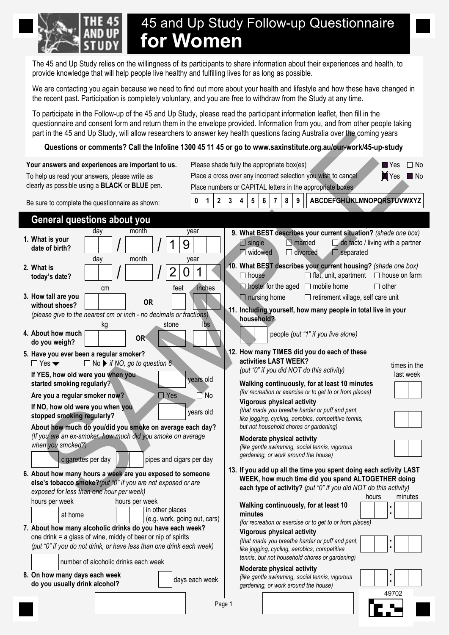

# 45 and Up Study Follow-up Questionnaire **for Women**

The 45 and Up Study relies on the willingness of its participants to share information about their experiences and health, to provide knowledge that will help people live healthy and fulfilling lives for as long as possible.

We are contacting you again because we need to find out more about your health and lifestyle and how these have changed in the recent past. Participation is completely voluntary, and you are free to withdraw from the Study at any time.

To participate in the Follow-up of the 45 and Up Study, please read the participant information leaflet, then fill in the questionnaire and consent form and return them in the envelope provided. Information from you, and from other people taking part in the 45 and Up Study, will allow researchers to answer key health questions facing Australia over the coming years

## **Questions or comments? Call the Infoline 1300 45 11 45 or go to www.saxinstitute.org.au/our-work/45-up-study**

|                                                                                                                                                                                                                                                                                              | part in the 45 and Up Study, will allow researchers to answer key health questions facing Australia over the coming years                                                                                                                                                                                                                                                    |
|----------------------------------------------------------------------------------------------------------------------------------------------------------------------------------------------------------------------------------------------------------------------------------------------|------------------------------------------------------------------------------------------------------------------------------------------------------------------------------------------------------------------------------------------------------------------------------------------------------------------------------------------------------------------------------|
|                                                                                                                                                                                                                                                                                              | Questions or comments? Call the Infoline 1300 45 11 45 or go to www.saxinstitute.org.au/our-work/45-up-study                                                                                                                                                                                                                                                                 |
| Your answers and experiences are important to us.<br>To help us read your answers, please write as<br>clearly as possible using a <b>BLACK</b> or <b>BLUE</b> pen.                                                                                                                           | Please shade fully the appropriate box(es).<br>$\blacksquare$ Yes<br>$\Box$ No<br>$\blacktriangleright$ Yes $\blacksquare$ No<br>Place a cross over any incorrect selection you wish to cancel<br>Place numbers or CAPITAL letters in the appropriate boxes                                                                                                                  |
| Be sure to complete the questionnaire as shown:                                                                                                                                                                                                                                              | ABCDEFGHIJKLMNOPQRSTUVWXYZ<br>$2\overline{ }$<br>3<br>4<br>5<br>8<br>9<br>0<br>$\mathbf 1$                                                                                                                                                                                                                                                                                   |
| <b>General questions about you</b>                                                                                                                                                                                                                                                           |                                                                                                                                                                                                                                                                                                                                                                              |
| month<br>day<br>1. What is your<br>date of birth?<br>month<br>day<br>2. What is                                                                                                                                                                                                              | year<br>9. What BEST describes your current situation? (shade one box)<br>$\Box$ de facto / living with a partner<br>$\Box$ single<br>$\Box$ married<br>9<br><b>Midowed</b><br>$\Box$ divorced<br>$\Box$ separated<br>year<br>10. What BEST describes your current housing? (shade one box)<br>$\Omega$<br>$\Box$ house<br>$\Box$ flat, unit, apartment $\Box$ house on farm |
| today's date?<br>feet<br>cm                                                                                                                                                                                                                                                                  | $\Box$ hostel for the aged $\Box$ mobile home<br>$\Box$ other<br>inches                                                                                                                                                                                                                                                                                                      |
| 3. How tall are you<br><b>OR</b><br>without shoes?<br>(please give to the nearest cm or inch - no decimals or fractions)<br>stone                                                                                                                                                            | $\Box$ nursing home<br>□ retirement village, self care unit<br>11. Including yourself, how many people in total live in your<br>household?                                                                                                                                                                                                                                   |
| kg<br>4. About how much<br>OR <sup>®</sup><br>do you weigh?                                                                                                                                                                                                                                  | lbs<br>people (put "1" if you live alone)                                                                                                                                                                                                                                                                                                                                    |
| 5. Have you ever been a regular smoker?<br>$\Box$ No $\blacktriangleright$ if NO, go to question 6.<br>$\Box$ Yes $\blacktriangledown$<br>If YES, how old were you when you<br>started smoking regularly?<br>$\Box$ Yes<br>Are you a regular smoker now?<br>If NO, how old were you when you | 12. How many TIMES did you do each of these<br>activities LAST WEEK?<br>times in the<br>(put "0" if you did NOT do this activity)<br>last week<br>years old<br>Walking continuously, for at least 10 minutes<br>(for recreation or exercise or to get to or from places)<br>$\Box$ No<br><b>Vigorous physical activity</b>                                                   |
| stopped smoking regularly?<br>About how much do you/did you smoke on average each day?<br>(If you are an ex-smoker, how much did you smoke on average<br>when you smoked?)<br>cigarettes per day<br>pipes and cigars per day                                                                 | (that made you breathe harder or puff and pant,<br>years old<br>like jogging, cycling, aerobics, competitive tennis,<br>but not household chores or gardening)<br><b>Moderate physical activity</b><br>(like gentle swimming, social tennis, vigorous<br>gardening, or work around the house)                                                                                |
| 6. About how many hours a week are you exposed to someone<br>else's tobacco smoke?(put "0" if you are not exposed or are<br>exposed for less than one hour per week)                                                                                                                         | 13. If you add up all the time you spent doing each activity LAST<br>WEEK, how much time did you spend ALTOGETHER doing<br>each type of activity? (put "0" if you did NOT do this activity)<br>minutes<br>hours                                                                                                                                                              |
| hours per week<br>hours per week<br>in other places<br>at home<br>(e.g. work, going out, cars)                                                                                                                                                                                               | Walking continuously, for at least 10<br>minutes<br>(for recreation or exercise or to get to or from places)                                                                                                                                                                                                                                                                 |
| 7. About how many alcoholic drinks do you have each week?<br>one drink $=$ a glass of wine, middy of beer or nip of spirits<br>(put "0" if you do not drink, or have less than one drink each week)<br>number of alcoholic drinks each week                                                  | <b>Vigorous physical activity</b><br>(that made you breathe harder or puff and pant,<br>like jogging, cycling, aerobics, competitive<br>tennis, but not household chores or gardening)                                                                                                                                                                                       |
| 8. On how many days each week<br>do you usually drink alcohol?                                                                                                                                                                                                                               | Moderate physical activity<br>(like gentle swimming, social tennis, vigorous<br>days each week<br>Ĩ.<br>gardening, or work around the house)                                                                                                                                                                                                                                 |
|                                                                                                                                                                                                                                                                                              | 49702<br>Page 1                                                                                                                                                                                                                                                                                                                                                              |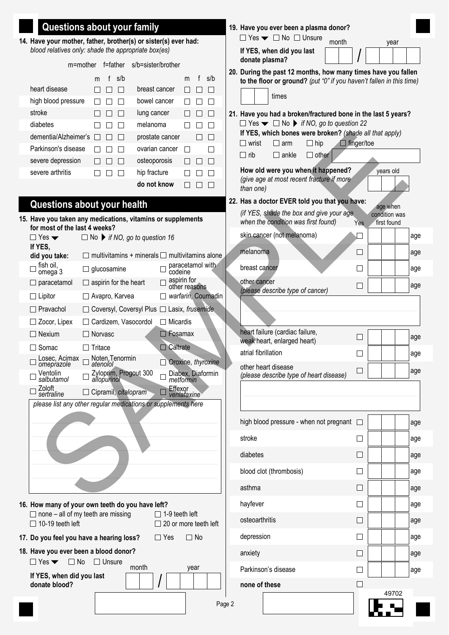| Questions about your family                                                                       |                                                            |              |                                                       |                              |                    |        | 19. Have you ever been a plasma donor?                                                    |                   |                              |     |
|---------------------------------------------------------------------------------------------------|------------------------------------------------------------|--------------|-------------------------------------------------------|------------------------------|--------------------|--------|-------------------------------------------------------------------------------------------|-------------------|------------------------------|-----|
| 14. Have your mother, father, brother(s) or sister(s) ever had:                                   |                                                            |              |                                                       |                              |                    |        | $\Box$ Yes $\blacktriangleright$ $\Box$ No $\Box$ Unsure<br>month                         |                   | year                         |     |
| blood relatives only: shade the appropriate box(es)                                               | m=mother f=father                                          |              | s/b=sister/brother                                    |                              |                    |        | If YES, when did you last<br>donate plasma?                                               |                   |                              |     |
|                                                                                                   |                                                            |              |                                                       |                              |                    |        | 20. During the past 12 months, how many times have you fallen                             |                   |                              |     |
| heart disease                                                                                     | s/b<br>m<br>$\mathsf{L}$<br>$\perp$                        |              | breast cancer                                         | f<br>m<br>$\perp$            | s/b<br>$\perp$     |        | to the floor or ground? (put "0" if you haven't fallen in this time)                      |                   |                              |     |
| high blood pressure                                                                               | $\Box$<br>П                                                |              | bowel cancer                                          | $\perp$                      | П                  |        | times                                                                                     |                   |                              |     |
| stroke                                                                                            | П<br>$\mathsf{L}$                                          | lung cancer  |                                                       | П                            | L                  |        | 21. Have you had a broken/fractured bone in the last 5 years?                             |                   |                              |     |
| diabetes                                                                                          | П                                                          | melanoma     |                                                       |                              |                    |        | $\Box$ Yes $\blacktriangleright$ $\Box$ No $\blacktriangleright$ if NO, go to question 22 |                   |                              |     |
| dementia/Alzheimer's                                                                              | П<br>$\Box$<br>$\Box$                                      |              | prostate cancer                                       | $\Box$                       | $\Box$             |        | If YES, which bones were broken? (shade all that apply)                                   |                   |                              |     |
| Parkinson's disease                                                                               | П<br>$\perp$                                               |              | ovarian cancer                                        | П                            | П                  |        | $\Box$ hip<br>$\Box$ wrist<br>$\Box$ arm                                                  | $\Box$ finger/toe |                              |     |
| severe depression                                                                                 | $\Box$                                                     | osteoporosis |                                                       |                              | П                  |        | $\Box$ rib<br>$\Box$ ankle<br>$\Box$ other                                                |                   |                              |     |
| severe arthritis                                                                                  | П<br>$\Box$                                                | hip fracture |                                                       |                              | П                  |        | How old were you when it happened?                                                        |                   | years old                    |     |
|                                                                                                   |                                                            |              | do not know                                           | $\perp$                      | $\Box$             |        | (give age at most recent fracture if more<br>than one)                                    |                   |                              |     |
| Questions about your health                                                                       |                                                            |              |                                                       |                              |                    |        | 22. Has a doctor EVER told you that you have:                                             |                   | age when                     |     |
| 15. Have you taken any medications, vitamins or supplements<br>for most of the last 4 weeks?      |                                                            |              |                                                       |                              |                    |        | (if YES, shade the box and give your age<br>when the condition was first found)           | Yes               | condition was<br>first found |     |
| $\Box$ Yes $\blacktriangledown$                                                                   | $\Box$ No $\blacktriangleright$ if NO, go to question 16   |              |                                                       |                              |                    |        | skin cancer (not melanoma)                                                                |                   |                              | age |
| If YES.<br>did you take:                                                                          | $\Box$ multivitamins + minerals $\Box$ multivitamins alone |              |                                                       |                              |                    |        | melanoma                                                                                  | $\vert \ \ \vert$ |                              | age |
| fish oil,<br>omega 3                                                                              | $\Box$ glucosamine                                         |              | codeine                                               | paracetamol with             |                    |        | breast cancer                                                                             | $\Box$            |                              | age |
| $\Box$ paracetamol                                                                                | $\Box$ aspirin for the heart                               |              |                                                       | aspirin for<br>other reasons |                    |        | other cancer<br>(please describe type of cancer)                                          | $\blacksquare$    |                              | age |
| $\Box$ Lipitor                                                                                    | □ Avapro, Karvea                                           |              | $\Box$                                                |                              | warfarin, Coumadin |        |                                                                                           |                   |                              |     |
| $\Box$ Pravachol                                                                                  | $\Box$ Coversyl, Coversyl Plus $\Box$ Lasix, frusemide     |              |                                                       |                              |                    |        |                                                                                           |                   |                              |     |
| $\Box$ Zocor, Lipex                                                                               | □ Cardizem, Vasocordol                                     |              | $\Box$ Micardis                                       |                              |                    |        |                                                                                           |                   |                              |     |
| $\Box$ Nexium                                                                                     | $\Box$ Norvasc                                             |              | $\Box$ Fosamax                                        |                              |                    |        | heart failure (cardiac failure,<br>weak heart, enlarged heart)                            | $\Box$            |                              | age |
| $\Box$ Somac                                                                                      | $\Box$ Tritace                                             |              | $\Box$ Caltrate                                       |                              |                    |        | atrial fibrillation                                                                       | $\blacksquare$    |                              | age |
| Losec, Acimax<br>omeprazole                                                                       | Noten, Tenormin<br>atenolol                                |              |                                                       |                              | Oroxine, thyroxine |        | other heart disease                                                                       | $\Box$            |                              | age |
| Ventolin<br>salbutamol                                                                            | Zyloprim, Progout 300<br>allopurinol                       |              |                                                       | metformin                    | Diabex, Diaformin  |        | (please describe type of heart disease)                                                   |                   |                              |     |
| Zoloft<br>sertraline                                                                              | $\Box$ Cipramil, citalopram                                |              |                                                       | Effexor<br>venlafaxine       |                    |        |                                                                                           |                   |                              |     |
| please list any other regular medications or supplements here                                     |                                                            |              |                                                       |                              |                    |        |                                                                                           |                   |                              |     |
|                                                                                                   |                                                            |              |                                                       |                              |                    |        | high blood pressure - when not pregnant $\Box$                                            |                   |                              | age |
|                                                                                                   |                                                            |              |                                                       |                              |                    |        | stroke                                                                                    | $\Box$            |                              | age |
|                                                                                                   |                                                            |              |                                                       |                              |                    |        | diabetes                                                                                  | $\perp$           |                              | age |
|                                                                                                   |                                                            |              |                                                       |                              |                    |        | blood clot (thrombosis)                                                                   |                   |                              | age |
|                                                                                                   |                                                            |              |                                                       |                              |                    |        | asthma                                                                                    | ⊔                 |                              | age |
| 16. How many of your own teeth do you have left?                                                  |                                                            |              |                                                       |                              |                    |        | hayfever                                                                                  | $\Box$            |                              | age |
| $\Box$ none – all of my teeth are missing<br>$\Box$ 10-19 teeth left                              |                                                            |              | $\Box$ 1-9 teeth left<br>$\Box$ 20 or more teeth left |                              |                    |        | osteoarthritis                                                                            | ⊔                 |                              | age |
| 17. Do you feel you have a hearing loss?                                                          |                                                            |              | $\Box$ Yes                                            | $\Box$ No                    |                    |        | depression                                                                                |                   |                              | age |
| 18. Have you ever been a blood donor?<br>$\Box$ Yes $\blacktriangleright$ $\Box$ No $\Box$ Unsure |                                                            |              |                                                       |                              |                    |        | anxiety                                                                                   | └                 |                              | age |
| If YES, when did you last                                                                         |                                                            | month        |                                                       | year                         |                    |        | Parkinson's disease                                                                       |                   |                              | age |
| donate blood?                                                                                     |                                                            |              |                                                       |                              |                    |        | none of these                                                                             |                   |                              |     |
|                                                                                                   |                                                            |              |                                                       |                              |                    | Page 2 |                                                                                           |                   | 49702                        |     |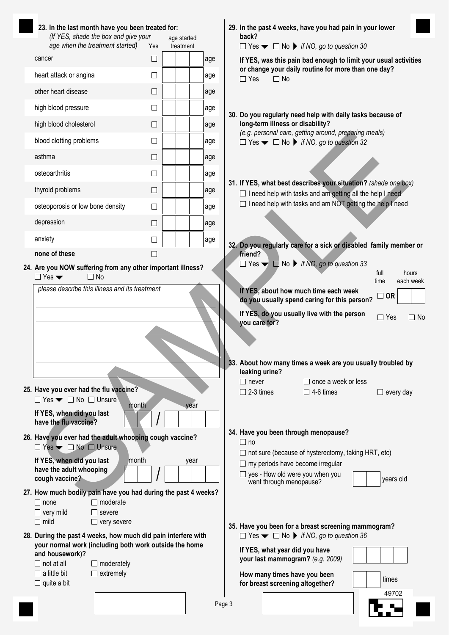| 23. In the last month have you been treated for:<br>(If YES, shade the box and give your                    |                                     |                          |      |        | back?                          |                                                                  | 29. In the past 4 weeks, have you had pain in your lower                                                                                           |                  |                    |
|-------------------------------------------------------------------------------------------------------------|-------------------------------------|--------------------------|------|--------|--------------------------------|------------------------------------------------------------------|----------------------------------------------------------------------------------------------------------------------------------------------------|------------------|--------------------|
| age when the treatment started)                                                                             | Yes                                 | age started<br>treatment |      |        |                                |                                                                  | $\Box$ Yes $\blacktriangleright$ $\Box$ No $\blacktriangleright$ if NO, go to question 30                                                          |                  |                    |
| cancer                                                                                                      | ⊔                                   |                          |      | age    |                                |                                                                  | If YES, was this pain bad enough to limit your usual activities                                                                                    |                  |                    |
| heart attack or angina                                                                                      | $\Box$                              |                          |      | age    | $\Box$ Yes                     | $\Box$ No                                                        | or change your daily routine for more than one day?                                                                                                |                  |                    |
| other heart disease                                                                                         | □                                   |                          |      | age    |                                |                                                                  |                                                                                                                                                    |                  |                    |
| high blood pressure                                                                                         | $\Box$                              |                          |      | age    |                                |                                                                  | 30. Do you regularly need help with daily tasks because of                                                                                         |                  |                    |
| high blood cholesterol                                                                                      | $\Box$                              |                          |      | age    |                                | long-term illness or disability?                                 |                                                                                                                                                    |                  |                    |
| blood clotting problems                                                                                     | $\Box$                              |                          |      | age    |                                |                                                                  | (e.g. personal care, getting around, preparing meals)<br>$\Box$ Yes $\blacktriangleright$ $\Box$ No $\blacktriangleright$ if NO, go to question 32 |                  |                    |
| asthma                                                                                                      | $\Box$                              |                          |      | age    |                                |                                                                  |                                                                                                                                                    |                  |                    |
| osteoarthritis                                                                                              | $\Box$                              |                          |      | age    |                                |                                                                  |                                                                                                                                                    |                  |                    |
| thyroid problems                                                                                            | $\Box$                              |                          |      | age    |                                |                                                                  | 31. If YES, what best describes your situation? (shade one box)<br>$\Box$ I need help with tasks and am getting all the help I need                |                  |                    |
| osteoporosis or low bone density                                                                            | $\Box$                              |                          |      | age    |                                |                                                                  | $\Box$ I need help with tasks and am NOT getting the help I need                                                                                   |                  |                    |
| depression                                                                                                  | $\Box$                              |                          |      | age    |                                |                                                                  |                                                                                                                                                    |                  |                    |
| anxiety                                                                                                     | $\Box$                              |                          |      | age    |                                |                                                                  |                                                                                                                                                    |                  |                    |
| none of these                                                                                               | $\mathsf{L}$                        |                          |      |        | friend?                        |                                                                  | 32. Do you regularly care for a sick or disabled family member or                                                                                  |                  |                    |
| 24. Are you NOW suffering from any other important illness?<br>$\Box$ Yes $\blacktriangledown$<br>$\Box$ No |                                     |                          |      |        |                                |                                                                  | $\Box$ Yes $\blacktriangleright$ $\Box$ No $\blacktriangleright$ if NO, go to question 33                                                          | full<br>time     | hours<br>each week |
| please describe this illness and its treatment                                                              |                                     |                          |      |        |                                |                                                                  | If YES, about how much time each week<br>do you usually spend caring for this person?                                                              | $\sqsupset$ OR   |                    |
|                                                                                                             |                                     |                          |      |        | you care for?                  |                                                                  | If YES, do you usually live with the person                                                                                                        | $\Box$ Yes       | $\Box$ No          |
|                                                                                                             |                                     |                          |      |        |                                |                                                                  |                                                                                                                                                    |                  |                    |
|                                                                                                             |                                     |                          |      |        |                                |                                                                  | 33. About how many times a week are you usually troubled by                                                                                        |                  |                    |
|                                                                                                             |                                     |                          |      |        | leaking urine?<br>$\Box$ never |                                                                  | $\Box$ once a week or less                                                                                                                         |                  |                    |
| 25. Have you ever had the flu vaccine?                                                                      |                                     |                          |      |        | $\Box$ 2-3 times               |                                                                  | $\Box$ 4-6 times                                                                                                                                   | $\Box$ every day |                    |
| $\Box$ Yes $\blacktriangleright$ $\Box$ No $\Box$ Unsure<br>If YES, when did you last                       | month                               |                          | year |        |                                |                                                                  |                                                                                                                                                    |                  |                    |
| have the flu vaccine?                                                                                       |                                     |                          |      |        |                                |                                                                  |                                                                                                                                                    |                  |                    |
| 26. Have you ever had the adult whooping cough vaccine?                                                     |                                     |                          |      |        | $\square$ no                   |                                                                  | 34. Have you been through menopause?                                                                                                               |                  |                    |
| $\Box$ Yes $\blacktriangleright$ $\Box$ No $\Box$ Unsure<br>If YES, when did you last                       | month                               |                          | year |        |                                |                                                                  | $\Box$ not sure (because of hysterectomy, taking HRT, etc)                                                                                         |                  |                    |
| have the adult whooping                                                                                     |                                     |                          |      |        |                                |                                                                  | $\Box$ my periods have become irregular<br>$\Box$ yes - How old were you when you                                                                  |                  |                    |
| cough vaccine?<br>27. How much bodily pain have you had during the past 4 weeks?                            |                                     |                          |      |        |                                | went through menopause?                                          |                                                                                                                                                    | years old        |                    |
| $\Box$ none                                                                                                 | $\Box$ moderate                     |                          |      |        |                                |                                                                  |                                                                                                                                                    |                  |                    |
| $\Box$ very mild<br>$\Box$ mild                                                                             | $\Box$ severe<br>$\Box$ very severe |                          |      |        |                                |                                                                  |                                                                                                                                                    |                  |                    |
| 28. During the past 4 weeks, how much did pain interfere with                                               |                                     |                          |      |        |                                |                                                                  | 35. Have you been for a breast screening mammogram?<br>$\Box$ Yes $\blacktriangleright$ $\Box$ No $\blacktriangleright$ if NO, go to question 36   |                  |                    |
| your normal work (including both work outside the home<br>and housework)?                                   |                                     |                          |      |        |                                | If YES, what year did you have                                   |                                                                                                                                                    |                  |                    |
| $\Box$ not at all                                                                                           | $\Box$ moderately                   |                          |      |        |                                |                                                                  | your last mammogram? (e.g. 2009)                                                                                                                   |                  |                    |
| $\Box$ a little bit<br>$\Box$ quite a bit                                                                   | $\Box$ extremely                    |                          |      |        |                                | How many times have you been<br>for breast screening altogether? |                                                                                                                                                    | times            |                    |
|                                                                                                             |                                     |                          |      | Page 3 |                                |                                                                  |                                                                                                                                                    | 49702            |                    |
|                                                                                                             |                                     |                          |      |        |                                |                                                                  |                                                                                                                                                    |                  |                    |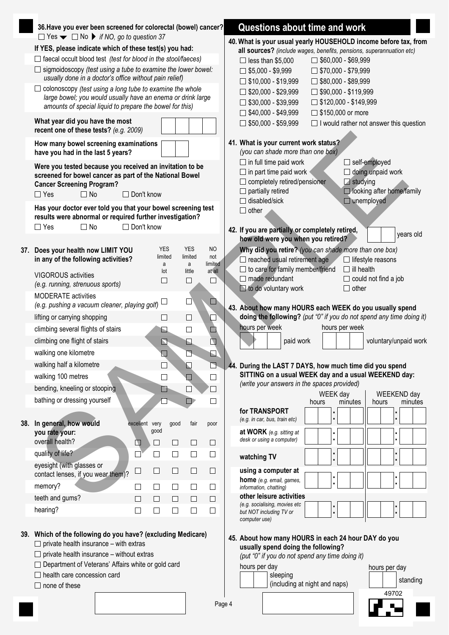|     | 36. Have you ever been screened for colorectal (bowel) cancer?                                                                                                    | Questions about time and work                                                                                                                |
|-----|-------------------------------------------------------------------------------------------------------------------------------------------------------------------|----------------------------------------------------------------------------------------------------------------------------------------------|
|     | $\Box$ Yes $\blacktriangleright$ $\Box$ No $\blacktriangleright$ if NO, go to question 37                                                                         | 40. What is your usual yearly HOUSEHOLD income before tax, from                                                                              |
|     | If YES, please indicate which of these test(s) you had:                                                                                                           | all sources? (include wages, benefits, pensions, superannuation etc)                                                                         |
|     | $\Box$ faecal occult blood test (test for blood in the stool/faeces)                                                                                              | $\Box$ less than \$5,000<br>$\Box$ \$60,000 - \$69,999                                                                                       |
|     | $\Box$ sigmoidoscopy (test using a tube to examine the lower bowel:<br>usually done in a doctor's office without pain relief)                                     | $\Box$ \$5,000 - \$9,999<br>$\Box$ \$70,000 - \$79,999<br>$\Box$ \$10,000 - \$19,999<br>$\Box$ \$80,000 - \$89,999                           |
|     | $\Box$ colonoscopy (test using a long tube to examine the whole                                                                                                   | $\Box$ \$20,000 - \$29,999<br>$\Box$ \$90,000 - \$119,999                                                                                    |
|     | large bowel; you would usually have an enema or drink large                                                                                                       | $\Box$ \$30,000 - \$39,999<br>$\Box$ \$120,000 - \$149,999                                                                                   |
|     | amounts of special liquid to prepare the bowel for this)                                                                                                          | $\Box$ \$40,000 - \$49,999<br>□ \$150,000 or more                                                                                            |
|     | What year did you have the most<br>recent one of these tests? (e.g. 2009)                                                                                         | $\Box$ \$50,000 - \$59,999<br>$\Box$ I would rather not answer this question                                                                 |
|     | How many bowel screening examinations<br>have you had in the last 5 years?                                                                                        | 41. What is your current work status?<br>(you can shade more than one box)                                                                   |
|     | Were you tested because you received an invitation to be                                                                                                          | $\Box$ in full time paid work<br>$\Box$ self-employed                                                                                        |
|     | screened for bowel cancer as part of the National Bowel                                                                                                           | $\Box$ in part time paid work<br>$\Box$ doing unpaid work                                                                                    |
|     | <b>Cancer Screening Program?</b>                                                                                                                                  | $\Box$ studying<br>$\Box$ completely retired/pensioner                                                                                       |
|     | □ Don't know<br>$\Box$ Yes<br>$\Box$ No                                                                                                                           | $\Box$ partially retired<br>□ looking after home/family<br>$\Box$ disabled/sick<br>$\Box$ unemployed                                         |
|     | Has your doctor ever told you that your bowel screening test<br>results were abnormal or required further investigation?                                          | $\Box$ other                                                                                                                                 |
|     | □ Don't know<br>$\Box$ Yes<br>$\Box$ No                                                                                                                           | 42. If you are partially or completely retired,<br>years old                                                                                 |
|     |                                                                                                                                                                   | how old were you when you retired?                                                                                                           |
|     | <b>YES</b><br><b>YES</b><br><b>NO</b><br>37. Does your health now LIMIT YOU<br>limited<br>limited<br>not<br>in any of the following activities?                   | Why did you retire? (you can shade more than one box)<br>$\Box$ reached usual retirement age<br>$\Box$ lifestyle reasons                     |
|     | limited<br>a<br>a<br>at all                                                                                                                                       | $\Box$ to care for family member/friend<br>$\Box$ ill health                                                                                 |
|     | little<br>lot<br><b>VIGOROUS</b> activities<br>□<br>⊔<br>⊔<br>(e.g. running, strenuous sports)                                                                    | $\Box$ made redundant<br>$\Box$ could not find a job                                                                                         |
|     | <b>MODERATE</b> activities<br>⊔<br>⊔                                                                                                                              | $\Box$ to do voluntary work<br>$\Box$ other                                                                                                  |
|     | (e.g. pushing a vacuum cleaner, playing golf)                                                                                                                     | 43. About how many HOURS each WEEK do you usually spend                                                                                      |
|     | lifting or carrying shopping<br>$\Box$<br>□<br>⊔                                                                                                                  | doing the following? (put "0" if you do not spend any time doing it)                                                                         |
|     | climbing several flights of stairs<br>D<br>$\Box$<br>L                                                                                                            | hours per week<br>hours per week                                                                                                             |
|     | climbing one flight of stairs<br>囗<br>$\mathbf \Xi$<br>Q                                                                                                          | paid work<br>voluntary/unpaid work                                                                                                           |
|     | walking one kilometre<br>⊡<br>$\Box$<br>⊓                                                                                                                         |                                                                                                                                              |
|     | walking half a kilometre<br>B<br>Ы                                                                                                                                | 44. During the LAST 7 DAYS, how much time did you spend                                                                                      |
|     | walking 100 metres<br>$\Box$<br>$\Box$<br>$\Box$                                                                                                                  | SITTING on a usual WEEK day and a usual WEEKEND day:<br>(write your answers in the spaces provided)                                          |
|     | bending, kneeling or stooping<br>D<br>□<br>⊔                                                                                                                      | WEEK day<br>WEEKEND day                                                                                                                      |
|     | bathing or dressing yourself<br>D<br>П                                                                                                                            | minutes<br>minutes<br>hours<br>hours                                                                                                         |
|     |                                                                                                                                                                   | for TRANSPORT<br>$\ddot{\cdot}$<br>×                                                                                                         |
| 38. | In general, how would<br>excellent very<br>good<br>fair<br>poor                                                                                                   | (e.g. in car, bus, train etc)                                                                                                                |
|     | good<br>you rate your:<br>overall health?<br>$\Box$<br>$\Box$<br>□<br>$\Box$<br>$\Box$                                                                            | at WORK (e.g. sitting at<br>desk or using a computer)                                                                                        |
|     | quality of life?<br>$\Box$<br>$\Box$<br>П<br>$\Box$<br>$\Box$                                                                                                     | watching TV<br>i,                                                                                                                            |
|     | eyesight (with glasses or<br>$\Box$<br>$\Box$<br>$\Box$<br>$\Box$<br>$\Box$<br>contact lenses, if you wear them)?                                                 | using a computer at                                                                                                                          |
|     | memory?<br>$\Box$<br>$\Box$<br>$\Box$<br>$\Box$<br>$\Box$                                                                                                         | home (e.g. email, games,<br>í.<br>information, chatting)                                                                                     |
|     | teeth and gums?<br>□<br>$\Box$<br>$\Box$<br>$\Box$                                                                                                                | other leisure activities                                                                                                                     |
|     | hearing?<br>П<br>$\Box$<br>$\Box$<br>$\Box$<br>$\vert \ \ \vert$                                                                                                  | (e.g. socialising, movies etc                                                                                                                |
|     |                                                                                                                                                                   | $\blacksquare$<br>but NOT including TV or<br>computer use)                                                                                   |
|     | 39. Which of the following do you have? (excluding Medicare)<br>$\Box$ private health insurance – with extras<br>$\Box$ private health insurance – without extras | 45. About how many HOURS in each 24 hour DAY do you<br>usually spend doing the following?<br>(put "0" if you do not spend any time doing it) |
|     | □ Department of Veterans' Affairs white or gold card                                                                                                              | hours per day<br>hours per day                                                                                                               |
|     | $\Box$ health care concession card<br>$\Box$ none of these                                                                                                        | sleeping<br>standing<br>(including at night and naps)                                                                                        |
|     |                                                                                                                                                                   | 49702                                                                                                                                        |
|     |                                                                                                                                                                   | Page 4                                                                                                                                       |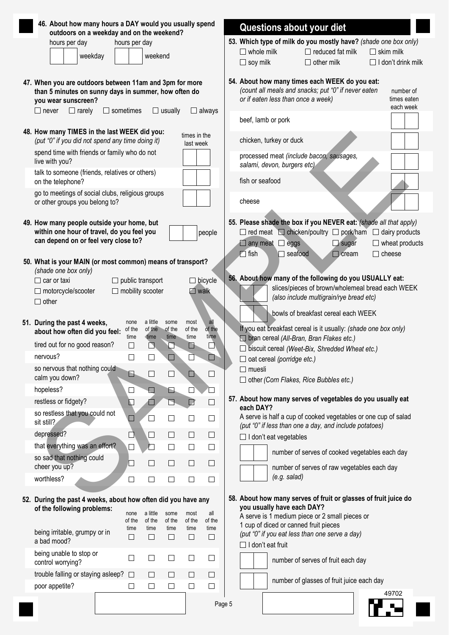| 46. About how many hours a DAY would you usually spend                                                                                                |                                             |                             |                        |                           |                       | Questions about your diet                                                                                                                                                                                                                                 |  |
|-------------------------------------------------------------------------------------------------------------------------------------------------------|---------------------------------------------|-----------------------------|------------------------|---------------------------|-----------------------|-----------------------------------------------------------------------------------------------------------------------------------------------------------------------------------------------------------------------------------------------------------|--|
| outdoors on a weekday and on the weekend?<br>hours per day                                                                                            | hours per day                               |                             |                        |                           |                       | 53. Which type of milk do you mostly have? (shade one box only)                                                                                                                                                                                           |  |
|                                                                                                                                                       |                                             |                             |                        |                           |                       | $\Box$ reduced fat milk<br>$\Box$ skim milk<br>$\Box$ whole milk                                                                                                                                                                                          |  |
| weekday                                                                                                                                               |                                             | weekend                     |                        |                           |                       | $\Box$ soy milk<br>$\Box$ other milk<br>$\Box$ I don't drink milk                                                                                                                                                                                         |  |
| 47. When you are outdoors between 11am and 3pm for more<br>than 5 minutes on sunny days in summer, how often do<br>you wear sunscreen?                |                                             |                             |                        |                           |                       | 54. About how many times each WEEK do you eat:<br>(count all meals and snacks; put "0" if never eaten<br>number of<br>or if eaten less than once a week)<br>times eaten<br>each week                                                                      |  |
| $\Box$ rarely<br>$\Box$ never                                                                                                                         | $\Box$ sometimes                            |                             | $\Box$ usually         |                           | $\Box$ always         | beef, lamb or pork                                                                                                                                                                                                                                        |  |
| 48. How many TIMES in the last WEEK did you:<br>(put "0" if you did not spend any time doing it)                                                      |                                             |                             |                        | times in the<br>last week |                       | chicken, turkey or duck                                                                                                                                                                                                                                   |  |
| spend time with friends or family who do not<br>live with you?                                                                                        |                                             |                             |                        |                           |                       | processed meat (include bacon, sausages,<br>salami, devon, burgers etc)                                                                                                                                                                                   |  |
| talk to someone (friends, relatives or others)<br>on the telephone?                                                                                   |                                             |                             |                        |                           |                       | fish or seafood                                                                                                                                                                                                                                           |  |
| go to meetings of social clubs, religious groups<br>or other groups you belong to?                                                                    |                                             |                             |                        |                           |                       | cheese                                                                                                                                                                                                                                                    |  |
| 49. How many people outside your home, but<br>within one hour of travel, do you feel you<br>can depend on or feel very close to?                      |                                             |                             |                        |                           | people                | 55. Please shade the box if you NEVER eat: (shade all that apply)<br>$\Box$ red meat $\Box$ chicken/poultry $\Box$ pork/ham $\Box$ dairy products<br>$\Box$ wheat products<br>$\Box$ any meat $\Box$ eggs<br>$\Box$ sugar<br>$\Box$ fish<br>$\Box$ cheese |  |
| 50. What is your MAIN (or most common) means of transport?<br>(shade one box only)<br>$\Box$ car or taxi<br>$\Box$ motorcycle/scooter<br>$\Box$ other | public transport<br>$\Box$ mobility scooter |                             |                        | $\Box$ walk               | $\Box$ bicycle        | $\Box$ seafood<br>$\Box$ cream<br>56. About how many of the following do you USUALLY eat:<br>slices/pieces of brown/wholemeal bread each WEEK<br>(also include multigrain/rye bread etc)<br>bowls of breakfast cereal each WEEK                           |  |
| 51. During the past 4 weeks,<br>about how often did you feel:                                                                                         | none<br>of the<br>time                      | a little<br>of the<br>time  | some<br>of the<br>time | most<br>of the<br>time    | all<br>of the<br>time | If you eat breakfast cereal is it usually: (shade one box only)                                                                                                                                                                                           |  |
| tired out for no good reason?                                                                                                                         | П                                           | $\Box$                      | ◘                      | ■                         | $\Box$                | $\Box$ bran cereal (All-Bran, Bran Flakes etc.)<br>$\Box$ biscuit cereal (Weet-Bix, Shredded Wheat etc.)                                                                                                                                                  |  |
| nervous?                                                                                                                                              |                                             |                             |                        |                           | □                     | $\Box$ oat cereal (porridge etc.)                                                                                                                                                                                                                         |  |
| so nervous that nothing could<br>calm you down?                                                                                                       | B                                           | $\Box$                      | $\Box$                 | ◘                         | $\Box$                | $\Box$ muesli<br>$\Box$ other (Corn Flakes, Rice Bubbles etc.)                                                                                                                                                                                            |  |
| hopeless?                                                                                                                                             | $\Box$                                      | $\Box$                      | G                      | $\Box$                    |                       |                                                                                                                                                                                                                                                           |  |
| restless or fidgety?                                                                                                                                  | $\Box$                                      | ◘                           | $\Box$                 | D                         | $\Box$                | 57. About how many serves of vegetables do you usually eat                                                                                                                                                                                                |  |
| so restless that you could not<br>sit still?                                                                                                          | $\Box$                                      | $\Box$                      | $\Box$                 | $\Box$                    | $\Box$                | each DAY?<br>A serve is half a cup of cooked vegetables or one cup of salad                                                                                                                                                                               |  |
| depressed?                                                                                                                                            | □                                           | $\Box$                      | $\Box$                 | $\Box$                    | $\Box$                | (put "0" if less than one a day, and include potatoes)                                                                                                                                                                                                    |  |
| that everything was an effort?                                                                                                                        | $\Box$                                      | 囗                           | $\Box$                 | $\Box$                    | $\Box$                | $\Box$ I don't eat vegetables                                                                                                                                                                                                                             |  |
| so sad that nothing could<br>cheer you up?                                                                                                            | $\Box$                                      | $\Box$                      | $\Box$                 | $\Box$                    | $\Box$                | number of serves of cooked vegetables each day                                                                                                                                                                                                            |  |
| worthless?                                                                                                                                            | $\Box$                                      | $\Box$                      | $\Box$                 | $\Box$                    | $\Box$                | number of serves of raw vegetables each day<br>$(e.g.$ salad)                                                                                                                                                                                             |  |
| 52. During the past 4 weeks, about how often did you have any<br>of the following problems:                                                           | none<br>of the                              | a little<br>of the          | some<br>of the         | most<br>of the            | all<br>of the         | 58. About how many serves of fruit or glasses of fruit juice do<br>you usually have each DAY?<br>A serve is 1 medium piece or 2 small pieces or<br>1 cup of diced or canned fruit pieces                                                                  |  |
| being irritable, grumpy or in<br>a bad mood?                                                                                                          | time<br>$\Box$                              | time<br>$\Box$              | time<br>$\Box$         | time<br>$\Box$            | time<br>$\Box$        | (put "0" if you eat less than one serve a day)<br>$\Box$ I don't eat fruit                                                                                                                                                                                |  |
| being unable to stop or<br>control worrying?                                                                                                          | $\Box$                                      | $\Box$                      | $\Box$                 | $\Box$                    | $\Box$                | number of serves of fruit each day                                                                                                                                                                                                                        |  |
| trouble falling or staying asleep?                                                                                                                    | $\Box$                                      | $\Box$                      | $\Box$                 | $\Box$                    | $\Box$                |                                                                                                                                                                                                                                                           |  |
| poor appetite?                                                                                                                                        | $\Box$                                      | $\mathcal{L}_{\mathcal{A}}$ | $\Box$                 | $\Box$                    | $\Box$                | number of glasses of fruit juice each day                                                                                                                                                                                                                 |  |
|                                                                                                                                                       |                                             |                             |                        |                           | Page 5                | 49702                                                                                                                                                                                                                                                     |  |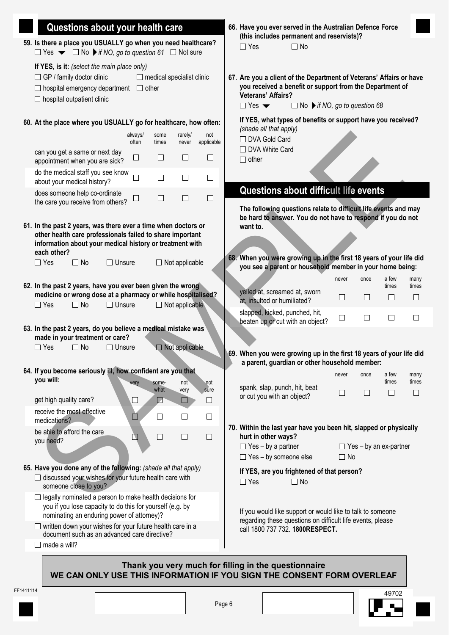|           | Questions about your health care                                                                                                                                                                       |                                           |                       |                   | 66. Have you ever served in the Australian Defence Force                                                                                                                                                                                                    |  |
|-----------|--------------------------------------------------------------------------------------------------------------------------------------------------------------------------------------------------------|-------------------------------------------|-----------------------|-------------------|-------------------------------------------------------------------------------------------------------------------------------------------------------------------------------------------------------------------------------------------------------------|--|
|           | 59. Is there a place you USUALLY go when you need healthcare?<br>$\Box$ Yes $\blacktriangleright$ $\Box$ No $\blacktriangleright$ if NO, go to question 61 $\Box$ Not sure                             |                                           |                       |                   | (this includes permanent and reservists)?<br>$\Box$ Yes<br>$\Box$ No                                                                                                                                                                                        |  |
|           | If YES, is it: (select the main place only)<br>$\Box$ GP / family doctor clinic<br>$\Box$ hospital emergency department $\Box$ other<br>$\Box$ hospital outpatient clinic                              | $\Box$ medical specialist clinic          |                       |                   | 67. Are you a client of the Department of Veterans' Affairs or have<br>you received a benefit or support from the Department of<br><b>Veterans' Affairs?</b><br>$\Box$ Yes $\blacktriangledown$<br>$\Box$ No $\blacktriangleright$ if NO, go to question 68 |  |
|           | 60. At the place where you USUALLY go for healthcare, how often:                                                                                                                                       |                                           |                       |                   | If YES, what types of benefits or support have you received?                                                                                                                                                                                                |  |
|           |                                                                                                                                                                                                        | always/<br>some<br>often<br>times         | rarely/<br>never      | not<br>applicable | (shade all that apply)<br>□ DVA Gold Card                                                                                                                                                                                                                   |  |
|           | can you get a same or next day<br>appointment when you are sick?                                                                                                                                       | $\Box$<br>$\Box$                          | □                     | $\Box$            | □ DVA White Card<br>$\Box$ other                                                                                                                                                                                                                            |  |
|           | do the medical staff you see know<br>about your medical history?                                                                                                                                       | $\Box$<br>$\overline{\phantom{a}}$        | $\Box$                | $\Box$            |                                                                                                                                                                                                                                                             |  |
|           | does someone help co-ordinate<br>the care you receive from others?                                                                                                                                     | $\Box$<br>$\Box$                          | □                     | $\Box$            | Questions about difficult life events                                                                                                                                                                                                                       |  |
|           | 61. In the past 2 years, was there ever a time when doctors or<br>other health care professionals failed to share important<br>information about your medical history or treatment with<br>each other? |                                           |                       |                   | The following questions relate to difficult life events and may<br>be hard to answer. You do not have to respond if you do not<br>want to.                                                                                                                  |  |
|           | $\Box$ Yes<br>$\Box$ No<br>$\Box$ Unsure                                                                                                                                                               |                                           | $\Box$ Not applicable |                   | 68. When you were growing up in the first 18 years of your life did<br>you see a parent or household member in your home being:                                                                                                                             |  |
|           | 62. In the past 2 years, have you ever been given the wrong                                                                                                                                            |                                           |                       |                   | a few<br>once<br>many<br>never<br>times<br>times                                                                                                                                                                                                            |  |
|           | medicine or wrong dose at a pharmacy or while hospitalised?<br>$\Box$ Yes<br>$\Box$ No<br>$\Box$ Unsure                                                                                                |                                           | $\Box$ Not applicable |                   | yelled at, screamed at, sworn<br>$\Box$<br>П<br>$\Box$<br>□<br>at, insulted or humiliated?                                                                                                                                                                  |  |
|           |                                                                                                                                                                                                        |                                           |                       |                   | slapped, kicked, punched, hit,<br>$\Box$<br>$\Box$<br>$\Box$<br>$\Box$<br>beaten up or cut with an object?                                                                                                                                                  |  |
|           | 63. In the past 2 years, do you believe a medical mistake was<br>made in your treatment or care?                                                                                                       |                                           |                       |                   |                                                                                                                                                                                                                                                             |  |
|           | $\Box$ No<br>$\Box$ Unsure<br>$\Box$ Yes                                                                                                                                                               |                                           | $\Box$ Not applicable |                   | 69. When you were growing up in the first 18 years of your life did<br>a parent, guardian or other household member:                                                                                                                                        |  |
|           | 64. If you become seriously ill, how confident are you that<br>you will:                                                                                                                               |                                           |                       |                   | a few<br>never<br>once<br>many                                                                                                                                                                                                                              |  |
|           | get high quality care?                                                                                                                                                                                 | some-<br>very<br>what<br>$\Box$<br>$\Box$ | not<br>very<br>$\Box$ | not<br>sure<br>□  | times<br>times<br>spank, slap, punch, hit, beat<br>$\Box$<br>$\Box$<br>$\Box$<br>□<br>or cut you with an object?                                                                                                                                            |  |
|           | receive the most effective<br>medications?                                                                                                                                                             | П<br>$\Box$                               | $\Box$                | □                 |                                                                                                                                                                                                                                                             |  |
|           | be able to afford the care                                                                                                                                                                             | □<br>N                                    | $\Box$                | □                 | 70. Within the last year have you been hit, slapped or physically<br>hurt in other ways?                                                                                                                                                                    |  |
|           | you need?                                                                                                                                                                                              |                                           |                       |                   | $\Box$ Yes - by a partner<br>$\Box$ Yes – by an ex-partner                                                                                                                                                                                                  |  |
|           | 65. Have you done any of the following: (shade all that apply)                                                                                                                                         |                                           |                       |                   | $\Box$ Yes - by someone else<br>$\Box$ No<br>If YES, are you frightened of that person?                                                                                                                                                                     |  |
|           | $\Box$ discussed your wishes for your future health care with<br>someone close to you?                                                                                                                 |                                           |                       |                   | $\Box$ Yes<br>$\Box$ No                                                                                                                                                                                                                                     |  |
|           | $\Box$ legally nominated a person to make health decisions for<br>you if you lose capacity to do this for yourself (e.g. by<br>nominating an enduring power of attorney)?                              |                                           |                       |                   | If you would like support or would like to talk to someone<br>regarding these questions on difficult life events, please                                                                                                                                    |  |
|           | $\Box$ written down your wishes for your future health care in a<br>document such as an advanced care directive?                                                                                       |                                           |                       |                   | call 1800 737 732. 1800RESPECT.                                                                                                                                                                                                                             |  |
|           | $\Box$ made a will?                                                                                                                                                                                    |                                           |                       |                   |                                                                                                                                                                                                                                                             |  |
|           |                                                                                                                                                                                                        |                                           |                       |                   | Thank you very much for filling in the questionnaire<br>WE CAN ONLY USE THIS INFORMATION IF YOU SIGN THE CONSENT FORM OVERLEAF                                                                                                                              |  |
| FF1411114 |                                                                                                                                                                                                        |                                           |                       |                   | 49702                                                                                                                                                                                                                                                       |  |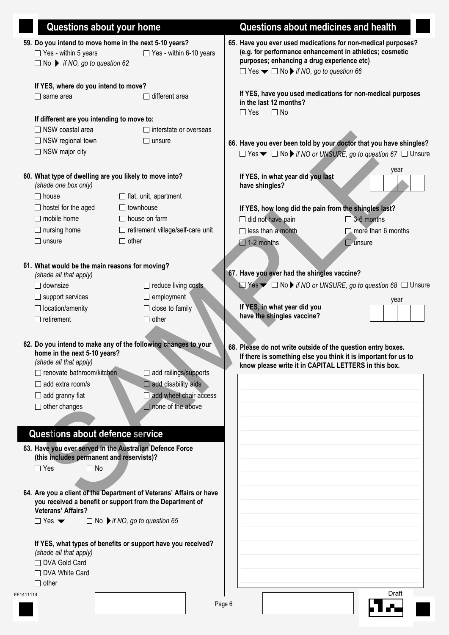|         | <b>Questions about your home</b>                    |                                                                     |        | Questions about medicines and health                                                                                           |
|---------|-----------------------------------------------------|---------------------------------------------------------------------|--------|--------------------------------------------------------------------------------------------------------------------------------|
|         |                                                     | 59. Do you intend to move home in the next 5-10 years?              |        | 65. Have you ever used medications for non-medical purposes?                                                                   |
|         | $\Box$ Yes - within 5 years                         | □ Yes - within 6-10 years                                           |        | (e.g. for performance enhancement in athletics; cosmetic                                                                       |
|         | $\Box$ No $\triangleright$ if NO, go to question 62 |                                                                     |        | purposes; enhancing a drug experience etc)                                                                                     |
|         |                                                     |                                                                     |        | $\Box$ Yes $\blacktriangleright$ $\Box$ No $\blacktriangleright$ if NO, go to question 66                                      |
|         | If YES, where do you intend to move?                |                                                                     |        |                                                                                                                                |
|         | $\Box$ same area                                    | different area                                                      |        | If YES, have you used medications for non-medical purposes                                                                     |
|         |                                                     |                                                                     |        | in the last 12 months?                                                                                                         |
|         | If different are you intending to move to:          |                                                                     |        | $\Box$ Yes<br>$\Box$ No                                                                                                        |
|         | $\Box$ NSW coastal area                             | $\Box$ interstate or overseas                                       |        |                                                                                                                                |
|         | $\Box$ NSW regional town                            | $\Box$ unsure                                                       |        |                                                                                                                                |
|         | $\Box$ NSW major city                               |                                                                     |        | 66. Have you ever been told by your doctor that you have shingles?                                                             |
|         |                                                     |                                                                     |        | $\Box$ Yes $\blacktriangleright$ $\Box$ No $\blacktriangleright$ if NO or UNSURE, go to question 67 $\Box$ Unsure              |
|         |                                                     |                                                                     |        | year                                                                                                                           |
|         | (shade one box only)                                | 60. What type of dwelling are you likely to move into?              |        | If YES, in what year did you last                                                                                              |
|         |                                                     |                                                                     |        | have shingles?                                                                                                                 |
|         | $\Box$ house                                        | $\Box$ flat, unit, apartment                                        |        |                                                                                                                                |
|         | $\Box$ hostel for the aged                          | $\Box$ townhouse                                                    |        | If YES, how long did the pain from the shingles last?                                                                          |
|         | $\Box$ mobile home                                  | $\Box$ house on farm                                                |        | 3-6 months<br>$\Box$ did not have pain                                                                                         |
|         | $\Box$ nursing home                                 | $\Box$ retirement village/self-care unit                            |        | $\Box$ less than a month<br>$\Box$ more than 6 months                                                                          |
|         | $\Box$ unsure                                       | $\Box$ other                                                        |        | $\Box$ 1-2 months<br>$\Box$ unsure                                                                                             |
|         |                                                     |                                                                     |        |                                                                                                                                |
|         | 61. What would be the main reasons for moving?      |                                                                     |        |                                                                                                                                |
|         | (shade all that apply)                              |                                                                     |        | 67. Have you ever had the shingles vaccine?                                                                                    |
|         | $\Box$ downsize                                     | $\Box$ reduce living costs                                          |        | $\Box$ Yes $\blacktriangleright$ $\Box$ No $\blacktriangleright$ if NO or UNSURE, go to question 68 $\Box$ Unsure              |
|         | $\Box$ support services                             | $\Box$ employment                                                   |        | year                                                                                                                           |
|         | $\Box$ location/amenity                             | $\Box$ close to family                                              |        | If YES, in what year did you                                                                                                   |
|         | $\Box$ retirement                                   | $\Box$ other                                                        |        | have the shingles vaccine?                                                                                                     |
|         |                                                     |                                                                     |        |                                                                                                                                |
|         |                                                     | 62. Do you intend to make any of the following changes to your      |        |                                                                                                                                |
|         | home in the next 5-10 years?                        |                                                                     |        | 68. Please do not write outside of the question entry boxes.<br>If there is something else you think it is important for us to |
|         | (shade all that apply)                              |                                                                     |        | know please write it in CAPITAL LETTERS in this box.                                                                           |
|         | □ renovate bathroom/kitchen                         | $\Box$ add railings/supports                                        |        |                                                                                                                                |
|         | $\Box$ add extra room/s                             | $\Box$ add disability aids                                          |        |                                                                                                                                |
|         | $\Box$ add granny flat                              | $\Box$ add wheel chair access                                       |        |                                                                                                                                |
|         | $\Box$ other changes                                | $\Box$ none of the above                                            |        |                                                                                                                                |
|         |                                                     |                                                                     |        |                                                                                                                                |
|         | Questions about defence service                     |                                                                     |        |                                                                                                                                |
|         |                                                     |                                                                     |        |                                                                                                                                |
|         |                                                     | 63. Have you ever served in the Australian Defence Force            |        |                                                                                                                                |
|         | (this includes permanent and reservists)?           |                                                                     |        |                                                                                                                                |
|         | $\Box$ Yes<br>$\Box$ No                             |                                                                     |        |                                                                                                                                |
|         |                                                     |                                                                     |        |                                                                                                                                |
|         |                                                     | 64. Are you a client of the Department of Veterans' Affairs or have |        |                                                                                                                                |
|         | <b>Veterans' Affairs?</b>                           | you received a benefit or support from the Department of            |        |                                                                                                                                |
|         | $\Box$ Yes $\blacktriangledown$                     |                                                                     |        |                                                                                                                                |
|         |                                                     | $\Box$ No $\blacktriangleright$ if NO, go to question 65            |        |                                                                                                                                |
|         |                                                     |                                                                     |        |                                                                                                                                |
|         | (shade all that apply)                              | If YES, what types of benefits or support have you received?        |        |                                                                                                                                |
|         | □ DVA Gold Card                                     |                                                                     |        |                                                                                                                                |
|         | □ DVA White Card                                    |                                                                     |        |                                                                                                                                |
|         | $\Box$ other                                        |                                                                     |        |                                                                                                                                |
| 1411114 |                                                     |                                                                     |        | Draft                                                                                                                          |
|         |                                                     |                                                                     | Page 6 |                                                                                                                                |
|         |                                                     |                                                                     |        |                                                                                                                                |

 $FF$